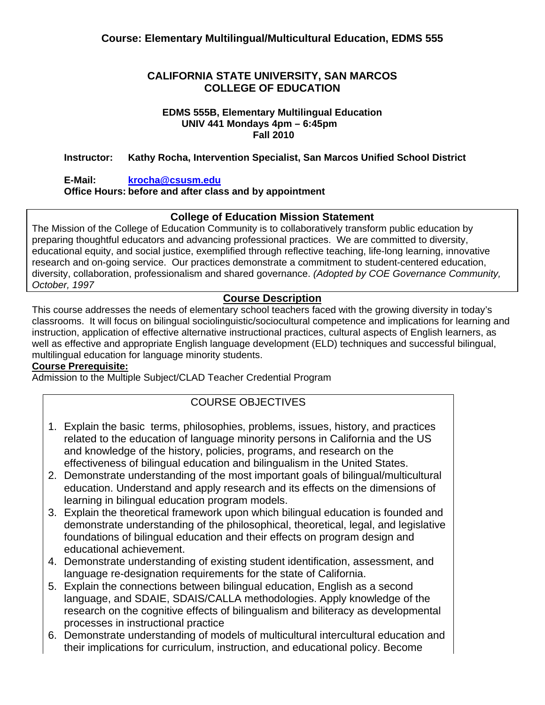## **CALIFORNIA STATE UNIVERSITY, SAN MARCOS COLLEGE OF EDUCATION**

#### **EDMS 555B, Elementary Multilingual Education UNIV 441 Mondays 4pm – 6:45pm Fall 2010**

## **Instructor: Kathy Rocha, Intervention Specialist, San Marcos Unified School District**

## **E-Mail: krocha@csusm.edu**

## **Office Hours: before and after class and by appointment**

## **College of Education Mission Statement**

The Mission of the College of Education Community is to collaboratively transform public education by preparing thoughtful educators and advancing professional practices. We are committed to diversity, educational equity, and social justice, exemplified through reflective teaching, life-long learning, innovative research and on-going service. Our practices demonstrate a commitment to student-centered education, diversity, collaboration, professionalism and shared governance. *(Adopted by COE Governance Community, October, 1997* 

## **Course Description**

 instruction, application of effective alternative instructional practices, cultural aspects of English learners, as This course addresses the needs of elementary school teachers faced with the growing diversity in today's classrooms. It will focus on bilingual sociolinguistic/sociocultural competence and implications for learning and well as effective and appropriate English language development (ELD) techniques and successful bilingual, multilingual education for language minority students.

## **Course Prerequisite:**

Admission to the Multiple Subject/CLAD Teacher Credential Program

# COURSE OBJECTIVES

- 1. Explain the basic terms, philosophies, problems, issues, history, and practices related to the education of language minority persons in California and the US and knowledge of the history, policies, programs, and research on the effectiveness of bilingual education and bilingualism in the United States.
- 2. Demonstrate understanding of the most important goals of bilingual/multicultural education. Understand and apply research and its effects on the dimensions of learning in bilingual education program models.
- 3. Explain the theoretical framework upon which bilingual education is founded and demonstrate understanding of the philosophical, theoretical, legal, and legislative foundations of bilingual education and their effects on program design and educational achievement.
- 4. Demonstrate understanding of existing student identification, assessment, and language re-designation requirements for the state of California.
- 5. Explain the connections between bilingual education, English as a second language, and SDAIE, SDAIS/CALLA methodologies. Apply knowledge of the research on the cognitive effects of bilingualism and biliteracy as developmental processes in instructional practice
- 6. Demonstrate understanding of models of multicultural intercultural education and their implications for curriculum, instruction, and educational policy. Become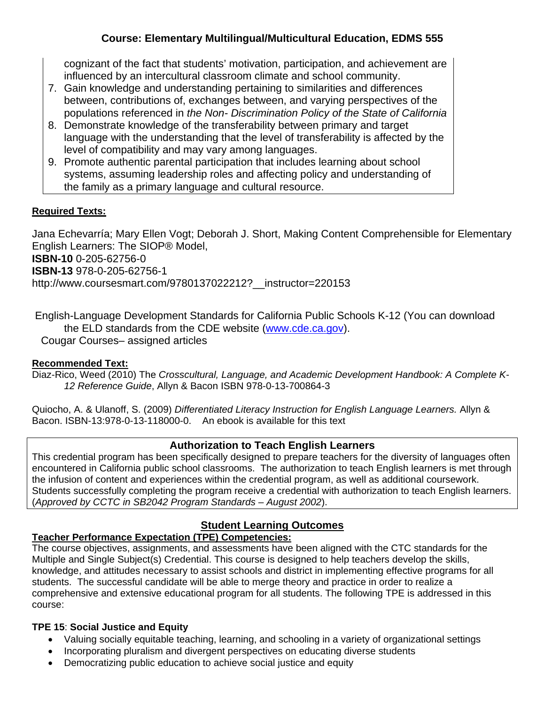cognizant of the fact that students' motivation, participation, and achievement are influenced by an intercultural classroom climate and school community.

- 7. Gain knowledge and understanding pertaining to similarities and differences between, contributions of, exchanges between, and varying perspectives of the populations referenced in *the Non- Discrimination Policy of the State of California*
- 8. Demonstrate knowledge of the transferability between primary and target language with the understanding that the level of transferability is affected by the level of compatibility and may vary among languages.
- 9. Promote authentic parental participation that includes learning about school systems, assuming leadership roles and affecting policy and understanding of the family as a primary language and cultural resource.

## **Required Texts:**

Jana Echevarría; Mary Ellen Vogt; Deborah J. Short, Making Content Comprehensible for Elementary English Learners: The SIOP® Model,

**ISBN-10** 0-205-62756-0

**ISBN-13** 978-0-205-62756-1

http://www.coursesmart.com/9780137022212?\_\_instructor=220153

 English-Language Development Standards for California Public Schools K-12 (You can download the ELD standards from the CDE website (www.cde.ca.gov). Cougar Courses– assigned articles

## **Recommended Text:**

Diaz-Rico, Weed (2010) The *Crosscultural, Language, and Academic Development Handbook: A Complete K-12 Reference Guide*, Allyn & Bacon ISBN 978-0-13-700864-3

 Bacon. ISBN-13:978-0-13-118000-0. An ebook is available for this text Quiocho, A. & Ulanoff, S. (2009) *Differentiated Literacy Instruction for English Language Learners.* Allyn &

## **Authorization to Teach English Learners**

This credential program has been specifically designed to prepare teachers for the diversity of languages often encountered in California public school classrooms. The authorization to teach English learners is met through the infusion of content and experiences within the credential program, as well as additional coursework. Students successfully completing the program receive a credential with authorization to teach English learners. (*Approved by CCTC in SB2042 Program Standards – August 2002*).

## **Student Learning Outcomes**

# **Teacher Performance Expectation (TPE) Competencies:**

The course objectives, assignments, and assessments have been aligned with the CTC standards for the Multiple and Single Subject(s) Credential. This course is designed to help teachers develop the skills, knowledge, and attitudes necessary to assist schools and district in implementing effective programs for all students. The successful candidate will be able to merge theory and practice in order to realize a comprehensive and extensive educational program for all students. The following TPE is addressed in this course:

# **TPE 15**: **Social Justice and Equity**

- Valuing socially equitable teaching, learning, and schooling in a variety of organizational settings
- Incorporating pluralism and divergent perspectives on educating diverse students
- Democratizing public education to achieve social justice and equity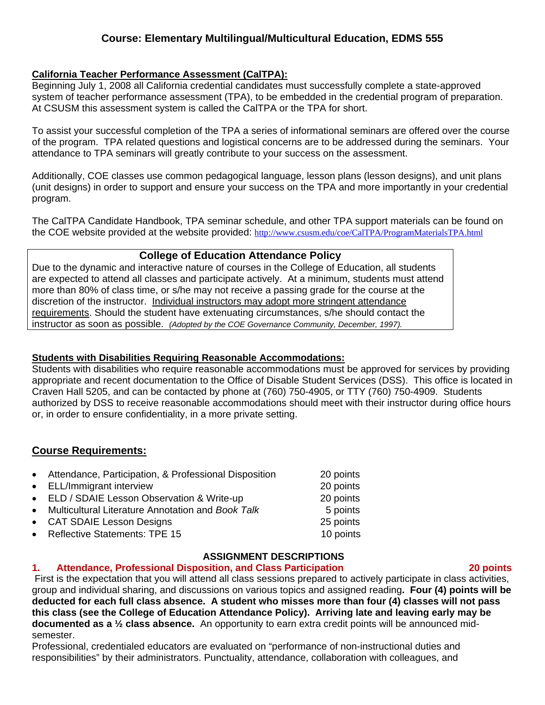#### **California Teacher Performance Assessment (CalTPA):**

system of teacher performance assessment (TPA), to be embedded in the credential program of preparation.<br>At CSUSM this assessment system is called the CalTPA or the TPA for short. Beginning July 1, 2008 all California credential candidates must successfully complete a state-approved

To assist your successful completion of the TPA a series of informational seminars are offered over the course of the program. TPA related questions and logistical concerns are to be addressed during the seminars. Your attendance to TPA seminars will greatly contribute to your success on the assessment.

Additionally, COE classes use common pedagogical language, lesson plans (lesson designs), and unit plans (unit designs) in order to support and ensure your success on the TPA and more importantly in your credential program.

The CalTPA Candidate Handbook, TPA seminar schedule, and other TPA support materials can be found on the COE website provided at the website provided: http://www.csusm.edu/coe/CalTPA/ProgramMaterialsTPA.html

## **College of Education Attendance Policy**

 instructor as soon as possible. *(Adopted by the COE Governance Community, December, 1997).* Due to the dynamic and interactive nature of courses in the College of Education, all students are expected to attend all classes and participate actively. At a minimum, students must attend more than 80% of class time, or s/he may not receive a passing grade for the course at the discretion of the instructor. Individual instructors may adopt more stringent attendance requirements. Should the student have extenuating circumstances, s/he should contact the

#### **Students with Disabilities Requiring Reasonable Accommodations:**

Students with disabilities who require reasonable accommodations must be approved for services by providing appropriate and recent documentation to the Office of Disable Student Services (DSS). This office is located in Craven Hall 5205, and can be contacted by phone at (760) 750-4905, or TTY (760) 750-4909. Students authorized by DSS to receive reasonable accommodations should meet with their instructor during office hours or, in order to ensure confidentiality, in a more private setting.

## **Course Requirements:**

| • Attendance, Participation, & Professional Disposition | 20 points |
|---------------------------------------------------------|-----------|
| • ELL/Immigrant interview                               | 20 points |
| • ELD / SDAIE Lesson Observation & Write-up             | 20 points |
| • Multicultural Literature Annotation and Book Talk     | 5 points  |
| • CAT SDAIE Lesson Designs                              | 25 points |
| • Reflective Statements: TPE 15                         | 10 points |

#### **ASSIGNMENT DESCRIPTIONS**

#### $1<sub>1</sub>$ **1. Attendance, Professional Disposition, and Class Participation 20 points**

 First is the expectation that you will attend all class sessions prepared to actively participate in class activities, group and individual sharing, and discussions on various topics and assigned reading**. Four (4) points will be deducted for each full class absence. A student who misses more than four (4) classes will not pass this class (see the College of Education Attendance Policy). Arriving late and leaving early may be documented as a ½ class absence.** An opportunity to earn extra credit points will be announced midsemester.

Professional, credentialed educators are evaluated on "performance of non-instructional duties and responsibilities" by their administrators. Punctuality, attendance, collaboration with colleagues, and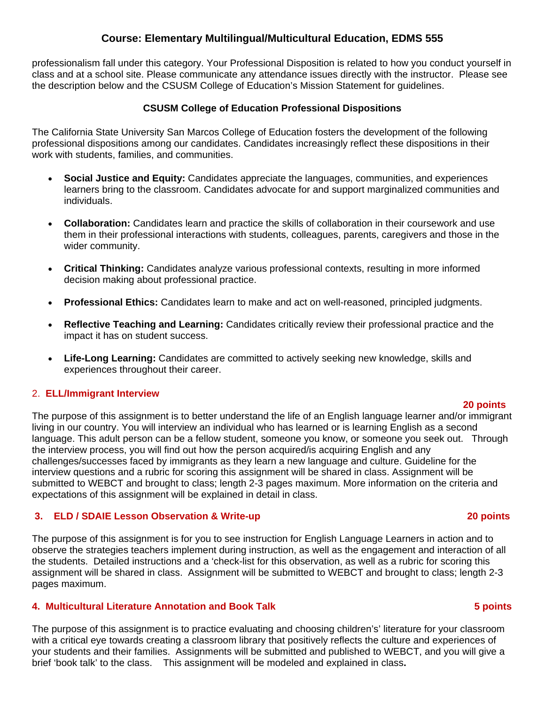the description below and the CSUSM College of Education's Mission Statement for guidelines. professionalism fall under this category. Your Professional Disposition is related to how you conduct yourself in class and at a school site. Please communicate any attendance issues directly with the instructor. Please see

#### **CSUSM College of Education Professional Dispositions**

The California State University San Marcos College of Education fosters the development of the following professional dispositions among our candidates. Candidates increasingly reflect these dispositions in their work with students, families, and communities.

- **Social Justice and Equity:** Candidates appreciate the languages, communities, and experiences learners bring to the classroom. Candidates advocate for and support marginalized communities and individuals.
- **Collaboration:** Candidates learn and practice the skills of collaboration in their coursework and use them in their professional interactions with students, colleagues, parents, caregivers and those in the wider community.
- **Critical Thinking:** Candidates analyze various professional contexts, resulting in more informed decision making about professional practice.
- **Professional Ethics:** Candidates learn to make and act on well-reasoned, principled judgments.
- **Reflective Teaching and Learning:** Candidates critically review their professional practice and the impact it has on student success.
- experiences throughout their career. **Life-Long Learning:** Candidates are committed to actively seeking new knowledge, skills and

#### 2. **ELL/Immigrant Interview**

#### **20 points**

 expectations of this assignment will be explained in detail in class. The purpose of this assignment is to better understand the life of an English language learner and/or immigrant living in our country. You will interview an individual who has learned or is learning English as a second language. This adult person can be a fellow student, someone you know, or someone you seek out. Through the interview process, you will find out how the person acquired/is acquiring English and any challenges/successes faced by immigrants as they learn a new language and culture. Guideline for the interview questions and a rubric for scoring this assignment will be shared in class. Assignment will be submitted to WEBCT and brought to class; length 2-3 pages maximum. More information on the criteria and

#### **3. ELD / SDAIE Lesson Observation & Write-up 20 points**

The purpose of this assignment is for you to see instruction for English Language Learners in action and to observe the strategies teachers implement during instruction, as well as the engagement and interaction of all the students. Detailed instructions and a 'check-list for this observation, as well as a rubric for scoring this assignment will be shared in class. Assignment will be submitted to WEBCT and brought to class; length 2-3 pages maximum.

#### **4. Multicultural Literature Annotation and Book Talk 5 points**

 brief 'book talk' to the class. This assignment will be modeled and explained in class**.** The purpose of this assignment is to practice evaluating and choosing children's' literature for your classroom with a critical eye towards creating a classroom library that positively reflects the culture and experiences of your students and their families. Assignments will be submitted and published to WEBCT, and you will give a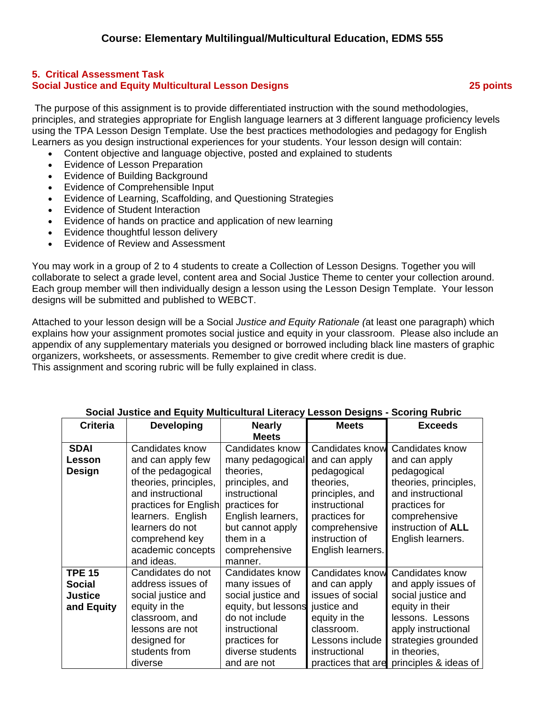#### **5. Critical Assessment Task Social Justice and Equity Multicultural Lesson Designs 25 points**

 The purpose of this assignment is to provide differentiated instruction with the sound methodologies, principles, and strategies appropriate for English language learners at 3 different language proficiency levels using the TPA Lesson Design Template. Use the best practices methodologies and pedagogy for English Learners as you design instructional experiences for your students. Your lesson design will contain:

- Content objective and language objective, posted and explained to students
- Evidence of Lesson Preparation
- Evidence of Building Background
- Evidence of Comprehensible Input
- Evidence of Learning, Scaffolding, and Questioning Strategies
- Evidence of Student Interaction
- Evidence of hands on practice and application of new learning
- Evidence thoughtful lesson delivery
- Evidence of Review and Assessment

You may work in a group of 2 to 4 students to create a Collection of Lesson Designs. Together you will collaborate to select a grade level, content area and Social Justice Theme to center your collection around. Each group member will then individually design a lesson using the Lesson Design Template. Your lesson designs will be submitted and published to WEBCT.

 This assignment and scoring rubric will be fully explained in class. Attached to your lesson design will be a Social *Justice and Equity Rationale (*at least one paragraph) which explains how your assignment promotes social justice and equity in your classroom. Please also include an appendix of any supplementary materials you designed or borrowed including black line masters of graphic organizers, worksheets, or assessments. Remember to give credit where credit is due.

| <b>Criteria</b> | <b>Developing</b>     | <b>Nearly</b>                   | <b>Meets</b>       | <b>Exceeds</b>            |
|-----------------|-----------------------|---------------------------------|--------------------|---------------------------|
|                 |                       | <b>Meets</b>                    |                    |                           |
| <b>SDAI</b>     | Candidates know       | Candidates know                 | Candidates know    | Candidates know           |
| Lesson          | and can apply few     | many pedagogical                | and can apply      | and can apply             |
| Design          | of the pedagogical    | theories,                       | pedagogical        | pedagogical               |
|                 | theories, principles, | principles, and                 | theories,          | theories, principles,     |
|                 | and instructional     | instructional                   | principles, and    | and instructional         |
|                 | practices for English | practices for                   | instructional      | practices for             |
|                 | learners. English     | English learners,               | practices for      | comprehensive             |
|                 | learners do not       | but cannot apply                | comprehensive      | instruction of <b>ALL</b> |
|                 | comprehend key        | them in a                       | instruction of     | English learners.         |
|                 | academic concepts     | comprehensive                   | English learners.  |                           |
|                 | and ideas.            | manner.                         |                    |                           |
| <b>TPE 15</b>   | Candidates do not     | Candidates know                 | Candidates know    | Candidates know           |
| <b>Social</b>   | address issues of     | many issues of                  | and can apply      | and apply issues of       |
| <b>Justice</b>  | social justice and    | social justice and              | issues of social   | social justice and        |
| and Equity      | equity in the         | equity, but lessons justice and |                    | equity in their           |
|                 | classroom, and        | do not include                  | equity in the      | lessons. Lessons          |
|                 | lessons are not       | instructional                   | classroom.         | apply instructional       |
|                 | designed for          | practices for                   | Lessons include    | strategies grounded       |
|                 | students from         | diverse students                | instructional      | in theories,              |
|                 | diverse               | and are not                     | practices that are | principles & ideas of     |

#### **Social Justice and Equity Multicultural Literacy Lesson Designs - Scoring Rubric**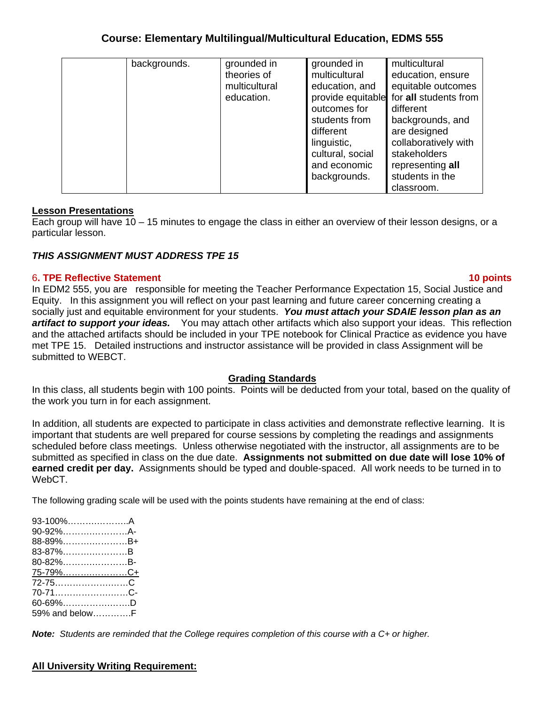| backgrounds. | grounded in   | grounded in       | multicultural         |
|--------------|---------------|-------------------|-----------------------|
|              | theories of   | multicultural     | education, ensure     |
|              | multicultural | education, and    | equitable outcomes    |
|              | education.    | provide equitable | for all students from |
|              |               | outcomes for      | different             |
|              |               | students from     | backgrounds, and      |
|              |               | different         | are designed          |
|              |               | linguistic,       | collaboratively with  |
|              |               | cultural, social  | stakeholders          |
|              |               | and economic      | representing all      |
|              |               | backgrounds.      | students in the       |
|              |               |                   | classroom.            |

#### **Lesson Presentations**

Each group will have 10 – 15 minutes to engage the class in either an overview of their lesson designs, or a particular lesson.

#### *THIS ASSIGNMENT MUST ADDRESS TPE 15*

#### 6**. TPE Reflective Statement 10 points**

In EDM2 555, you are responsible for meeting the Teacher Performance Expectation 15, Social Justice and Equity. In this assignment you will reflect on your past learning and future career concerning creating a socially just and equitable environment for your students. *You must attach your SDAIE lesson plan as an artifact to support your ideas.* You may attach other artifacts which also support your ideas. This reflection and the attached artifacts should be included in your TPE notebook for Clinical Practice as evidence you have met TPE 15. Detailed instructions and instructor assistance will be provided in class Assignment will be submitted to WEBCT.

#### **Grading Standards**

In this class, all students begin with 100 points. Points will be deducted from your total, based on the quality of the work you turn in for each assignment.

 submitted as specified in class on the due date. **Assignments not submitted on due date will lose 10% of**  In addition, all students are expected to participate in class activities and demonstrate reflective learning. It is important that students are well prepared for course sessions by completing the readings and assignments scheduled before class meetings. Unless otherwise negotiated with the instructor, all assignments are to be **earned credit per day.** Assignments should be typed and double-spaced. All work needs to be turned in to WebCT.

The following grading scale will be used with the points students have remaining at the end of class:

| 93-100%A       |  |
|----------------|--|
| 90-92%A-       |  |
| 88-89%B+       |  |
| 83-87%B        |  |
| 80-82%B-       |  |
| 75-79%C+       |  |
| 72-75C         |  |
| 70-71C-        |  |
| 60-69%D        |  |
| 59% and belowF |  |

*Note: Students are reminded that the College requires completion of this course with a C+ or higher.* 

#### **All University Writing Requirement:**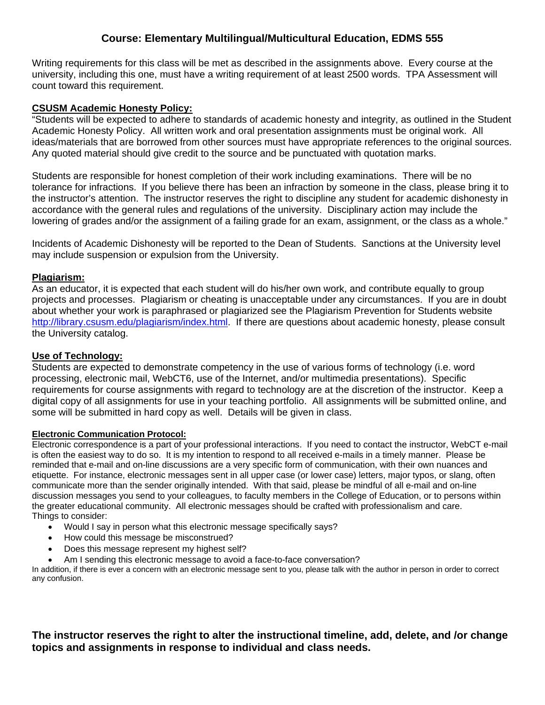Writing requirements for this class will be met as described in the assignments above. Every course at the university, including this one, must have a writing requirement of at least 2500 words. TPA Assessment will count toward this requirement.

#### **CSUSM Academic Honesty Policy:**

"Students will be expected to adhere to standards of academic honesty and integrity, as outlined in the Student Academic Honesty Policy. All written work and oral presentation assignments must be original work. All ideas/materials that are borrowed from other sources must have appropriate references to the original sources. Any quoted material should give credit to the source and be punctuated with quotation marks.

Students are responsible for honest completion of their work including examinations. There will be no tolerance for infractions. If you believe there has been an infraction by someone in the class, please bring it to the instructor's attention. The instructor reserves the right to discipline any student for academic dishonesty in accordance with the general rules and regulations of the university. Disciplinary action may include the lowering of grades and/or the assignment of a failing grade for an exam, assignment, or the class as a whole."

Incidents of Academic Dishonesty will be reported to the Dean of Students. Sanctions at the University level may include suspension or expulsion from the University.

#### **Plagiarism:**

As an educator, it is expected that each student will do his/her own work, and contribute equally to group projects and processes. Plagiarism or cheating is unacceptable under any circumstances. If you are in doubt about whether your work is paraphrased or plagiarized see the Plagiarism Prevention for Students website http://library.csusm.edu/plagiarism/index.html. If there are questions about academic honesty, please consult the University catalog.

#### **Use of Technology:**

Students are expected to demonstrate competency in the use of various forms of technology (i.e. word processing, electronic mail, WebCT6, use of the Internet, and/or multimedia presentations). Specific requirements for course assignments with regard to technology are at the discretion of the instructor. Keep a digital copy of all assignments for use in your teaching portfolio. All assignments will be submitted online, and some will be submitted in hard copy as well. Details will be given in class.

#### **Electronic Communication Protocol:**

Electronic correspondence is a part of your professional interactions. If you need to contact the instructor, WebCT e-mail is often the easiest way to do so. It is my intention to respond to all received e-mails in a timely manner. Please be reminded that e-mail and on-line discussions are a very specific form of communication, with their own nuances and etiquette. For instance, electronic messages sent in all upper case (or lower case) letters, major typos, or slang, often communicate more than the sender originally intended. With that said, please be mindful of all e-mail and on-line discussion messages you send to your colleagues, to faculty members in the College of Education, or to persons within the greater educational community. All electronic messages should be crafted with professionalism and care. Things to consider:

- Would I say in person what this electronic message specifically says?
- How could this message be misconstrued?
- Does this message represent my highest self?
- Am I sending this electronic message to avoid a face-to-face conversation?

In addition, if there is ever a concern with an electronic message sent to you, please talk with the author in person in order to correct any confusion.

**The instructor reserves the right to alter the instructional timeline, add, delete, and /or change topics and assignments in response to individual and class needs.**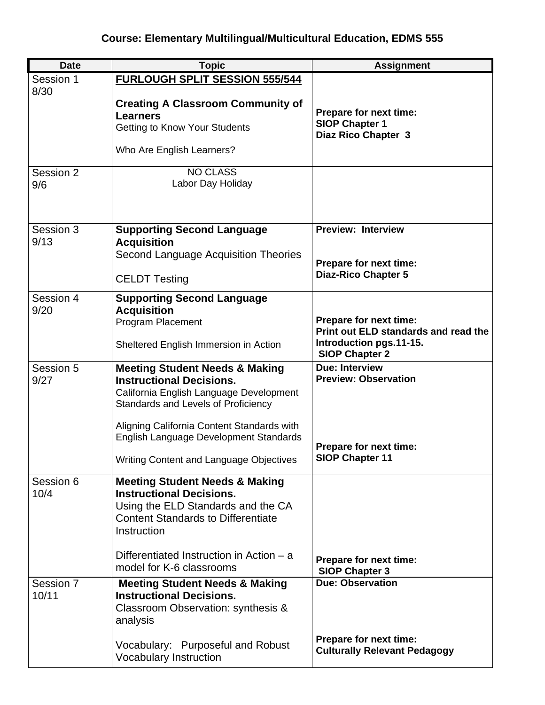| <b>Date</b>        | <b>Topic</b>                                                                                                                                                                   | <b>Assignment</b>                                             |
|--------------------|--------------------------------------------------------------------------------------------------------------------------------------------------------------------------------|---------------------------------------------------------------|
| Session 1          | <b>FURLOUGH SPLIT SESSION 555/544</b>                                                                                                                                          |                                                               |
| 8/30               | <b>Creating A Classroom Community of</b><br><b>Learners</b>                                                                                                                    | Prepare for next time:<br><b>SIOP Chapter 1</b>               |
|                    | <b>Getting to Know Your Students</b>                                                                                                                                           | Diaz Rico Chapter 3                                           |
|                    | Who Are English Learners?                                                                                                                                                      |                                                               |
| Session 2<br>9/6   | <b>NO CLASS</b><br>Labor Day Holiday                                                                                                                                           |                                                               |
| Session 3          | <b>Supporting Second Language</b>                                                                                                                                              | <b>Preview: Interview</b>                                     |
| 9/13               | <b>Acquisition</b><br>Second Language Acquisition Theories                                                                                                                     |                                                               |
|                    |                                                                                                                                                                                | Prepare for next time:                                        |
|                    | <b>CELDT Testing</b>                                                                                                                                                           | <b>Diaz-Rico Chapter 5</b>                                    |
| Session 4          | <b>Supporting Second Language</b>                                                                                                                                              |                                                               |
| 9/20               | <b>Acquisition</b><br><b>Program Placement</b>                                                                                                                                 | Prepare for next time:                                        |
|                    |                                                                                                                                                                                | Print out ELD standards and read the                          |
|                    | Sheltered English Immersion in Action                                                                                                                                          | Introduction pgs.11-15.<br><b>SIOP Chapter 2</b>              |
| Session 5<br>9/27  | <b>Meeting Student Needs &amp; Making</b><br><b>Instructional Decisions.</b><br>California English Language Development<br>Standards and Levels of Proficiency                 | <b>Due: Interview</b><br><b>Preview: Observation</b>          |
|                    | Aligning California Content Standards with<br>English Language Development Standards                                                                                           | Prepare for next time:                                        |
|                    | Writing Content and Language Objectives                                                                                                                                        | <b>SIOP Chapter 11</b>                                        |
| Session 6<br>10/4  | <b>Meeting Student Needs &amp; Making</b><br><b>Instructional Decisions.</b><br>Using the ELD Standards and the CA<br><b>Content Standards to Differentiate</b><br>Instruction |                                                               |
|                    | Differentiated Instruction in Action – a<br>model for K-6 classrooms                                                                                                           | Prepare for next time:<br><b>SIOP Chapter 3</b>               |
| Session 7<br>10/11 | <b>Meeting Student Needs &amp; Making</b><br><b>Instructional Decisions.</b><br>Classroom Observation: synthesis &<br>analysis                                                 | <b>Due: Observation</b>                                       |
|                    | Vocabulary: Purposeful and Robust<br><b>Vocabulary Instruction</b>                                                                                                             | Prepare for next time:<br><b>Culturally Relevant Pedagogy</b> |